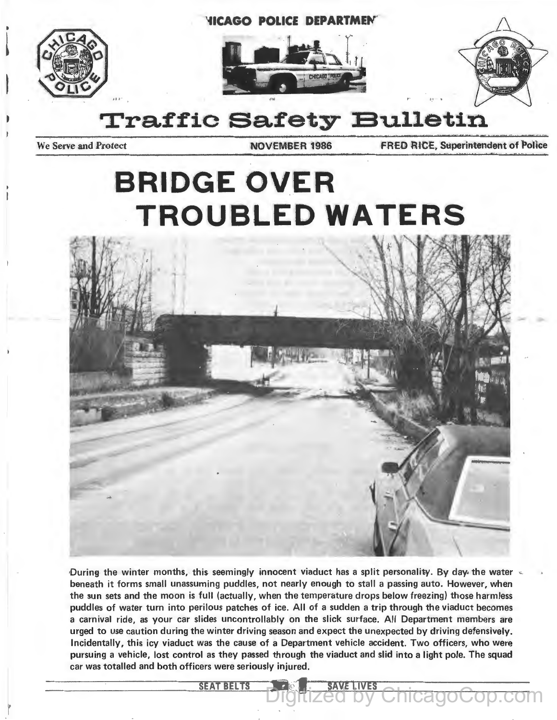

**YICAGO POLICE DEPARTMENT** 





**Traffic Safety Bulletin** 

We Serve and Protect NOVEMBER 1986 FRED RICE, Superintendent of Police

# **BRIDGE OVER TROUBLED WATERS**



During the winter months, this seemingly innocent viaduct has a split personality. By day the water beneath it forms small unassuming puddles, not nearly enough to stall a passing auto. However, when the sun sets and the moon is full (actually, when the temperature drops below freezing) those harmless puddles of water turn into perilous patches of ice. All of a sudden a trip through the viaduct becomes a carnival ride, as your car slides uncontrollably on the slick surface. All Department members are urged to use caution during the winter driving season and expect the unexpected by driving defensively. Incidentally, this icy viaduct was the cause of a Department vehicle accident. Two officers, who were pursuing a vehicle, lost control as they passed through the viaduct and slid into a light pole. The squad car was totalled and both officers were seriously injured.

Digitized by ChicagoCop.com

**SEAT BELTS**